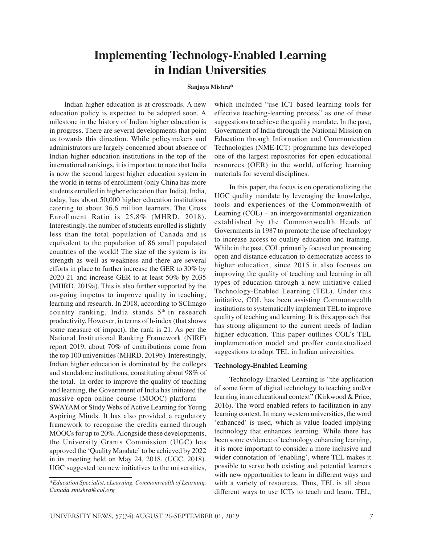# **Implementing Technology-Enabled Learning in Indian Universities**

#### **Sanjaya Mishra\***

Indian higher education is at crossroads. A new education policy is expected to be adopted soon. A milestone in the history of Indian higher education is in progress. There are several developments that point us towards this direction. While policymakers and administrators are largely concerned about absence of Indian higher education institutions in the top of the international rankings, it is important to note that India is now the second largest higher education system in the world in terms of enrollment (only China has more students enrolled in higher education than India). India, today, has about 50,000 higher education institutions catering to about 36.6 million learners. The Gross Enrollment Ratio is 25.8% (MHRD, 2018). Interestingly, the number of students enrolled is slightly less than the total population of Canada and is equivalent to the population of 86 small populated countries of the world! The size of the system is its strength as well as weakness and there are several efforts in place to further increase the GER to 30% by 2020-21 and increase GER to at least 50% by 2035 (MHRD, 2019a). This is also further supported by the on-going impetus to improve quality in teaching, learning and research. In 2018, according to SCImago country ranking, India stands 5<sup>th</sup> in research productivity. However, in terms of h-index (that shows some measure of impact), the rank is 21. As per the National Institutional Ranking Framework (NIRF) report 2019, about 70% of contributions come from the top 100 universities (MHRD, 2019b). Interestingly, Indian higher education is dominated by the colleges and standalone institutions, constituting about 98% of the total. In order to improve the quality of teaching and learning, the Government of India has initiated the massive open online course (MOOC) platform — SWAYAM or Study Webs of Active Learning for Young Aspiring Minds. It has also provided a regulatory framework to recognise the credits earned through MOOCs for up to 20%. Alongside these developments, the University Grants Commission (UGC) has approved the 'Quality Mandate' to be achieved by 2022 in its meeting held on May 24, 2018. (UGC, 2018). UGC suggested ten new initiatives to the universities,

which included "use ICT based learning tools for effective teaching-learning process" as one of these suggestions to achieve the quality mandate. In the past, Government of India through the National Mission on Education through Information and Communication Technologies (NME-ICT) programme has developed one of the largest repositories for open educational resources (OER) in the world, offering learning materials for several disciplines.

In this paper, the focus is on operationalizing the UGC quality mandate by leveraging the knowledge, tools and experiences of the Commonwealth of Learning (COL) – an intergovernmental organization established by the Commonwealth Heads of Governments in 1987 to promote the use of technology to increase access to quality education and training. While in the past, COL primarily focused on promoting open and distance education to democratize access to higher education, since 2015 it also focuses on improving the quality of teaching and learning in all types of education through a new initiative called Technology-Enabled Learning (TEL). Under this initiative, COL has been assisting Commonwealth institutions to systematically implement TEL to improve quality of teaching and learning. It is this approach that has strong alignment to the current needs of Indian higher education. This paper outlines COL's TEL implementation model and proffer contextualized suggestions to adopt TEL in Indian universities.

## Technology-Enabled Learning

Technology-Enabled Learning is "the application of some form of digital technology to teaching and/or learning in an educational context" (Kirkwood & Price, 2016). The word enabled refers to facilitation in any learning context. In many western universities, the word 'enhanced' is used, which is value loaded implying technology that enhances learning. While there has been some evidence of technology enhancing learning, it is more important to consider a more inclusive and wider connotation of 'enabling', where TEL makes it possible to serve both existing and potential learners with new opportunities to learn in different ways and with a variety of resources. Thus, TEL is all about different ways to use ICTs to teach and learn. TEL,

*<sup>\*</sup>Education Specialist, eLearning, Commonwealth of Learning, Canada smishra@col.org*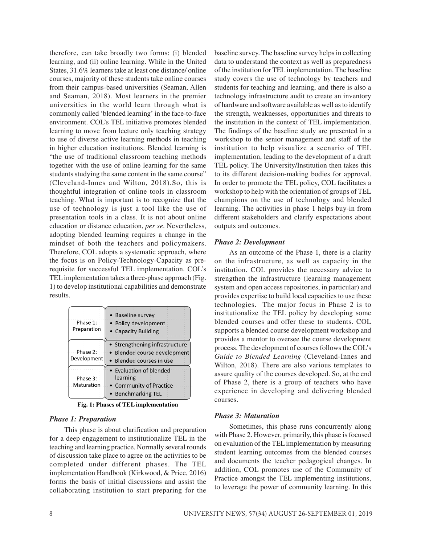therefore, can take broadly two forms: (i) blended learning, and (ii) online learning. While in the United States, 31.6% learners take at least one distance/ online courses, majority of these students take online courses from their campus-based universities (Seaman, Allen and Seaman, 2018). Most learners in the premier universities in the world learn through what is commonly called 'blended learning' in the face-to-face environment. COL's TEL initiative promotes blended learning to move from lecture only teaching strategy to use of diverse active learning methods in teaching in higher education institutions. Blended learning is "the use of traditional classroom teaching methods together with the use of online learning for the same students studying the same content in the same course" (Cleveland-Innes and Wilton, 2018).So, this is thoughtful integration of online tools in classroom teaching. What is important is to recognize that the use of technology is just a tool like the use of presentation tools in a class. It is not about online education or distance education, *per se*. Nevertheless, adopting blended learning requires a change in the mindset of both the teachers and policymakers. Therefore, COL adopts a systematic approach, where the focus is on Policy-Technology-Capacity as prerequisite for successful TEL implementation. COL's TEL implementation takes a three-phase approach (Fig. 1) to develop institutional capabilities and demonstrate results.

| Phase 1:<br>Preparation | • Baseline survey<br>• Policy development<br>• Capacity Building                           |
|-------------------------|--------------------------------------------------------------------------------------------|
| Phase 2:<br>Development | • Strengthening infrastructure<br>• Blended course development<br>• Blended courses in use |
| Phase 3:<br>Maturation  | • Evaluation of blended<br>learning<br>• Community of Practice<br>• Benchmarking TEL       |

**Fig. 1: Phases of TEL implementation**

## *Phase 1: Preparation*

This phase is about clarification and preparation for a deep engagement to institutionalize TEL in the teaching and learning practice. Normally several rounds of discussion take place to agree on the activities to be completed under different phases. The TEL implementation Handbook (Kirkwood, & Price, 2016) forms the basis of initial discussions and assist the collaborating institution to start preparing for the

baseline survey. The baseline survey helps in collecting data to understand the context as well as preparedness of the institution for TEL implementation. The baseline study covers the use of technology by teachers and students for teaching and learning, and there is also a technology infrastructure audit to create an inventory of hardware and software available as well as to identify the strength, weaknesses, opportunities and threats to the institution in the context of TEL implementation. The findings of the baseline study are presented in a workshop to the senior management and staff of the institution to help visualize a scenario of TEL implementation, leading to the development of a draft TEL policy. The University/Institution then takes this to its different decision-making bodies for approval. In order to promote the TEL policy, COL facilitates a workshop to help with the orientation of groups of TEL champions on the use of technology and blended learning. The activities in phase 1 helps buy-in from different stakeholders and clarify expectations about outputs and outcomes.

#### *Phase 2: Development*

As an outcome of the Phase 1, there is a clarity on the infrastructure, as well as capacity in the institution. COL provides the necessary advice to strengthen the infrastructure (learning management system and open access repositories, in particular) and provides expertise to build local capacities to use these technologies. The major focus in Phase 2 is to institutionalize the TEL policy by developing some blended courses and offer these to students. COL supports a blended course development workshop and provides a mentor to oversee the course development process. The development of courses follows the COL's *Guide to Blended Learning* (Cleveland-Innes and Wilton, 2018). There are also various templates to assure quality of the courses developed. So, at the end of Phase 2, there is a group of teachers who have experience in developing and delivering blended courses.

## *Phase 3: Maturation*

Sometimes, this phase runs concurrently along with Phase 2. However, primarily, this phase is focused on evaluation of the TEL implementation by measuring student learning outcomes from the blended courses and documents the teacher pedagogical changes. In addition, COL promotes use of the Community of Practice amongst the TEL implementing institutions, to leverage the power of community learning. In this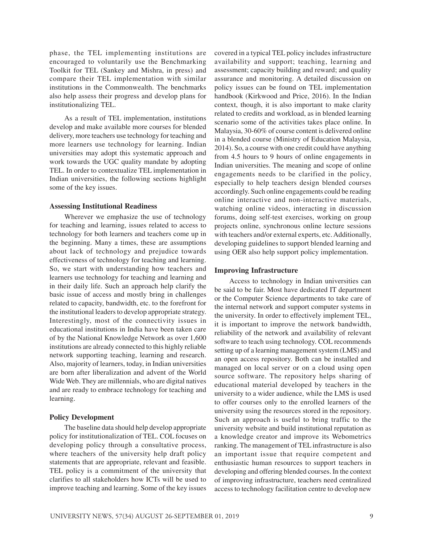phase, the TEL implementing institutions are encouraged to voluntarily use the Benchmarking Toolkit for TEL (Sankey and Mishra, in press) and compare their TEL implementation with similar institutions in the Commonwealth. The benchmarks also help assess their progress and develop plans for institutionalizing TEL.

As a result of TEL implementation, institutions develop and make available more courses for blended delivery, more teachers use technology for teaching and more learners use technology for learning. Indian universities may adopt this systematic approach and work towards the UGC quality mandate by adopting TEL. In order to contextualize TEL implementation in Indian universities, the following sections highlight some of the key issues.

## **Assessing Institutional Readiness**

Wherever we emphasize the use of technology for teaching and learning, issues related to access to technology for both learners and teachers come up in the beginning. Many a times, these are assumptions about lack of technology and prejudice towards effectiveness of technology for teaching and learning. So, we start with understanding how teachers and learners use technology for teaching and learning and in their daily life. Such an approach help clarify the basic issue of access and mostly bring in challenges related to capacity, bandwidth, etc. to the forefront for the institutional leaders to develop appropriate strategy. Interestingly, most of the connectivity issues in educational institutions in India have been taken care of by the National Knowledge Network as over 1,600 institutions are already connected to this highly reliable network supporting teaching, learning and research. Also, majority of learners, today, in Indian universities are born after liberalization and advent of the World Wide Web. They are millennials, who are digital natives and are ready to embrace technology for teaching and learning.

# **Policy Development**

The baseline data should help develop appropriate policy for institutionalization of TEL. COL focuses on developing policy through a consultative process, where teachers of the university help draft policy statements that are appropriate, relevant and feasible. TEL policy is a commitment of the university that clarifies to all stakeholders how ICTs will be used to improve teaching and learning. Some of the key issues covered in a typical TEL policy includes infrastructure availability and support; teaching, learning and assessment; capacity building and reward; and quality assurance and monitoring. A detailed discussion on policy issues can be found on TEL implementation handbook (Kirkwood and Price, 2016). In the Indian context, though, it is also important to make clarity related to credits and workload, as in blended learning scenario some of the activities takes place online. In Malaysia, 30-60% of course content is delivered online in a blended course (Ministry of Education Malaysia, 2014). So, a course with one credit could have anything from 4.5 hours to 9 hours of online engagements in Indian universities. The meaning and scope of online engagements needs to be clarified in the policy, especially to help teachers design blended courses accordingly. Such online engagements could be reading online interactive and non-interactive materials, watching online videos, interacting in discussion forums, doing self-test exercises, working on group projects online, synchronous online lecture sessions with teachers and/or external experts, etc. Additionally, developing guidelines to support blended learning and using OER also help support policy implementation.

# **Improving Infrastructure**

Access to technology in Indian universities can be said to be fair. Most have dedicated IT department or the Computer Science departments to take care of the internal network and support computer systems in the university. In order to effectively implement TEL, it is important to improve the network bandwidth, reliability of the network and availability of relevant software to teach using technology. COL recommends setting up of a learning management system (LMS) and an open access repository. Both can be installed and managed on local server or on a cloud using open source software. The repository helps sharing of educational material developed by teachers in the university to a wider audience, while the LMS is used to offer courses only to the enrolled learners of the university using the resources stored in the repository. Such an approach is useful to bring traffic to the university website and build institutional reputation as a knowledge creator and improve its Webometrics ranking. The management of TEL infrastructure is also an important issue that require competent and enthusiastic human resources to support teachers in developing and offering blended courses. In the context of improving infrastructure, teachers need centralized access to technology facilitation centre to develop new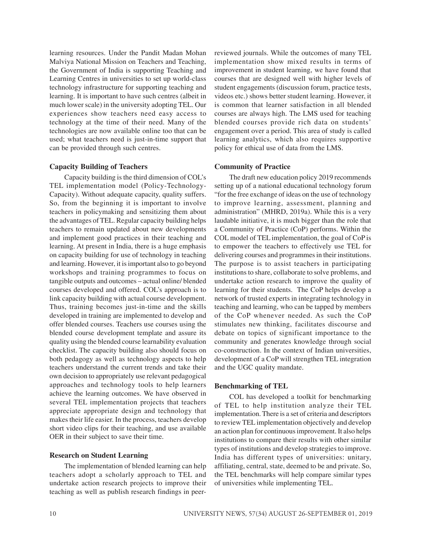learning resources. Under the Pandit Madan Mohan Malviya National Mission on Teachers and Teaching, the Government of India is supporting Teaching and Learning Centres in universities to set up world-class technology infrastructure for supporting teaching and learning. It is important to have such centres (albeit in much lower scale) in the university adopting TEL. Our experiences show teachers need easy access to technology at the time of their need. Many of the technologies are now available online too that can be used; what teachers need is just-in-time support that can be provided through such centres.

# **Capacity Building of Teachers**

Capacity building is the third dimension of COL's TEL implementation model (Policy-Technology-Capacity). Without adequate capacity, quality suffers. So, from the beginning it is important to involve teachers in policymaking and sensitizing them about the advantages of TEL. Regular capacity building helps teachers to remain updated about new developments and implement good practices in their teaching and learning. At present in India, there is a huge emphasis on capacity building for use of technology in teaching and learning. However, it is important also to go beyond workshops and training programmes to focus on tangible outputs and outcomes – actual online/ blended courses developed and offered. COL's approach is to link capacity building with actual course development. Thus, training becomes just-in-time and the skills developed in training are implemented to develop and offer blended courses. Teachers use courses using the blended course development template and assure its quality using the blended course learnability evaluation checklist. The capacity building also should focus on both pedagogy as well as technology aspects to help teachers understand the current trends and take their own decision to appropriately use relevant pedagogical approaches and technology tools to help learners achieve the learning outcomes. We have observed in several TEL implementation projects that teachers appreciate appropriate design and technology that makes their life easier. In the process, teachers develop short video clips for their teaching, and use available OER in their subject to save their time.

# **Research on Student Learning**

The implementation of blended learning can help teachers adopt a scholarly approach to TEL and undertake action research projects to improve their teaching as well as publish research findings in peerreviewed journals. While the outcomes of many TEL implementation show mixed results in terms of improvement in student learning, we have found that courses that are designed well with higher levels of student engagements (discussion forum, practice tests, videos etc.) shows better student learning. However, it is common that learner satisfaction in all blended courses are always high. The LMS used for teaching blended courses provide rich data on students' engagement over a period. This area of study is called learning analytics, which also requires supportive policy for ethical use of data from the LMS.

# **Community of Practice**

The draft new education policy 2019 recommends setting up of a national educational technology forum "for the free exchange of ideas on the use of technology to improve learning, assessment, planning and administration" (MHRD, 2019a). While this is a very laudable initiative, it is much bigger than the role that a Community of Practice (CoP) performs. Within the COL model of TEL implementation, the goal of CoP is to empower the teachers to effectively use TEL for delivering courses and programmes in their institutions. The purpose is to assist teachers in participating institutions to share, collaborate to solve problems, and undertake action research to improve the quality of learning for their students. The CoP helps develop a network of trusted experts in integrating technology in teaching and learning, who can be tapped by members of the CoP whenever needed. As such the CoP stimulates new thinking, facilitates discourse and debate on topics of significant importance to the community and generates knowledge through social co-construction. In the context of Indian universities, development of a CoP will strengthen TEL integration and the UGC quality mandate.

# **Benchmarking of TEL**

COL has developed a toolkit for benchmarking of TEL to help institution analyze their TEL implementation. There is a set of criteria and descriptors to review TEL implementation objectively and develop an action plan for continuous improvement. It also helps institutions to compare their results with other similar types of institutions and develop strategies to improve. India has different types of universities: unitary, affiliating, central, state, deemed to be and private. So, the TEL benchmarks will help compare similar types of universities while implementing TEL.